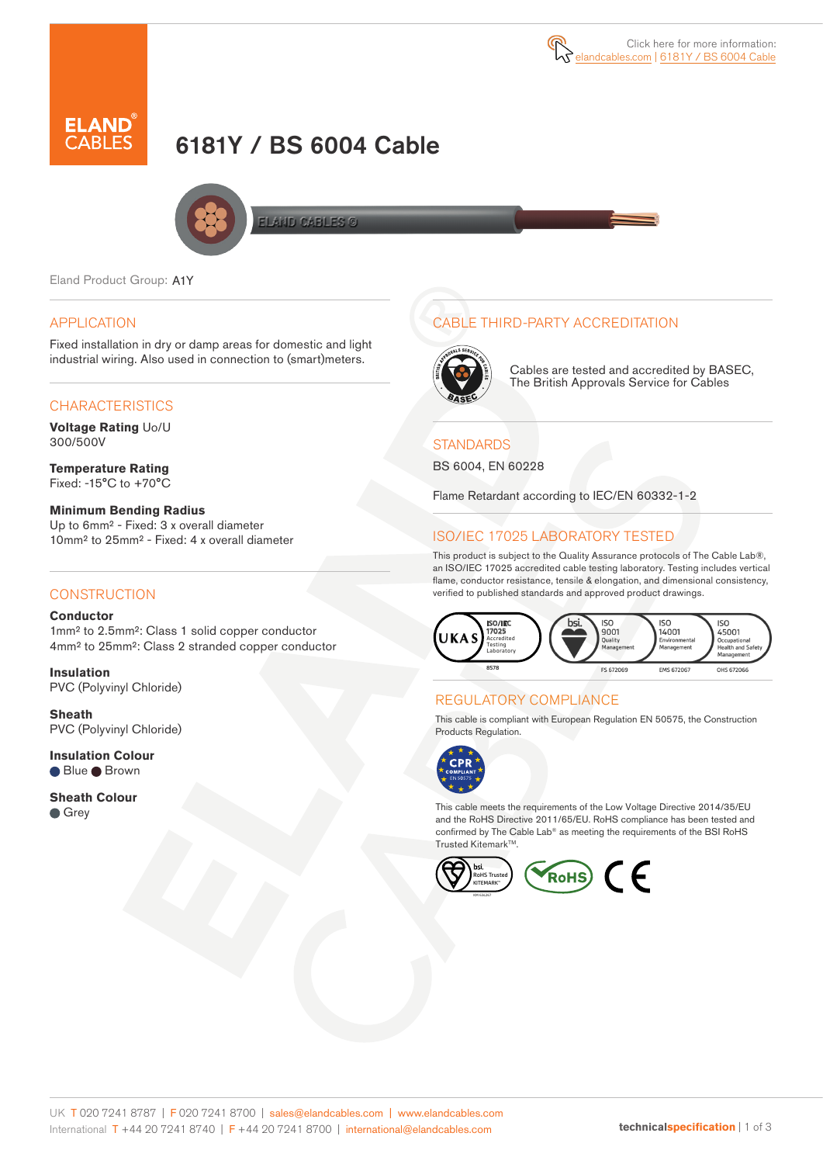

# 6181Y / BS 6004 Cable



**FI AND CABLES @** 

Eland Product Group: A1Y

#### APPLICATION

Fixed installation in dry or damp areas for domestic and light industrial wiring. Also used in connection to (smart)meters.

#### **CHARACTERISTICS**

**Voltage Rating** Uo/U 300/500V

**Temperature Rating** Fixed: -15°C to +70°C

**Minimum Bending Radius** Up to 6mm² - Fixed: 3 x overall diameter 10mm² to 25mm² - Fixed: 4 x overall diameter

#### **CONSTRUCTION**

**Conductor** 1mm² to 2.5mm²: Class 1 solid copper conductor 4mm² to 25mm²: Class 2 stranded copper conductor

**Insulation** PVC (Polyvinyl Chloride)

**Sheath** PVC (Polyvinyl Chloride)

**Insulation Colour** ● Blue ● Brown

**Sheath Colour Grey** 

# CABLE THIRD-PARTY ACCREDITATION



Cables are tested and accredited by BASEC, The British Approvals Service for Cables

#### **STANDARDS**

BS 6004, EN 60228

Flame Retardant according to IEC/EN 60332-1-2

# ISO/IEC 17025 LABORATORY TESTED

This product is subject to the Quality Assurance protocols of The Cable Lab®, an ISO/IEC 17025 accredited cable testing laboratory. Testing includes vertical flame, conductor resistance, tensile & elongation, and dimensional consistency, verified to published standards and approved product drawings.



### REGULATORY COMPLIANCE

This cable is compliant with European Regulation EN 50575, the Construction Products Regulation.



This cable meets the requirements of the Low Voltage Directive 2014/35/EU and the RoHS Directive 2011/65/EU. RoHS compliance has been tested and confirmed by The Cable Lab® as meeting the requirements of the BSI RoHS Trusted Kitemark™

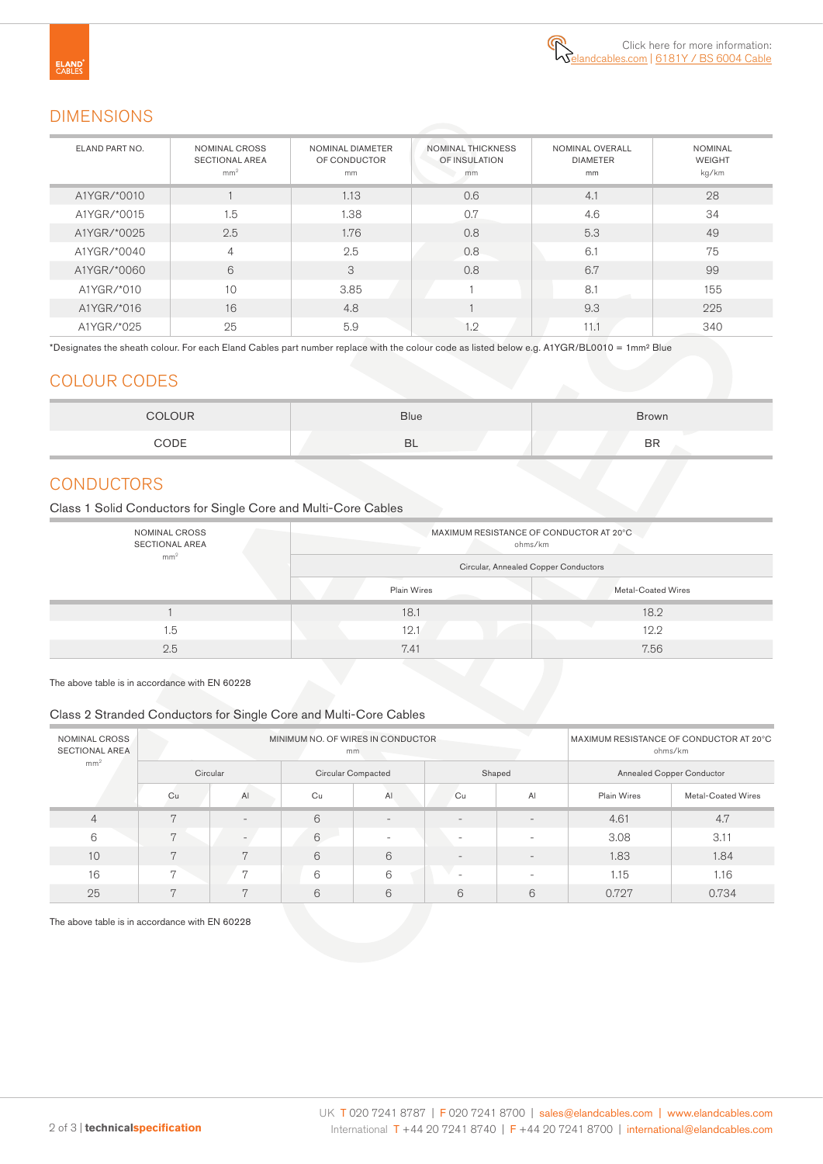

## DIMENSIONS

| ELAND PART NO. | NOMINAL CROSS<br><b>SECTIONAL AREA</b><br>mm <sup>2</sup> | NOMINAL DIAMETER<br>OF CONDUCTOR<br>mm | <b>NOMINAL THICKNESS</b><br>OF INSULATION<br>mm | NOMINAL OVERALL<br><b>DIAMETER</b><br>mm | <b>NOMINAL</b><br><b>WEIGHT</b><br>kg/km |
|----------------|-----------------------------------------------------------|----------------------------------------|-------------------------------------------------|------------------------------------------|------------------------------------------|
| A1YGR/*0010    |                                                           | 1.13                                   | 0.6                                             | 4.1                                      | 28                                       |
| A1YGR/*0015    | 1.5                                                       | 1.38                                   | 0.7                                             | 4.6                                      | 34                                       |
| A1YGR/*0025    | 2.5                                                       | 1.76                                   | 0.8                                             | 5.3                                      | 49                                       |
| A1YGR/*0040    | $\overline{4}$                                            | 2.5                                    | 0.8                                             | 6.1                                      | 75                                       |
| A1YGR/*0060    | 6                                                         | 3                                      | 0.8                                             | 6.7                                      | 99                                       |
| A1YGR/*010     | 10                                                        | 3.85                                   |                                                 | 8.1                                      | 155                                      |
| A1YGR/*016     | 16                                                        | 4.8                                    |                                                 | 9.3                                      | 225                                      |
| A1YGR/*025     | 25                                                        | 5.9                                    | 1.2                                             | 11.1                                     | 340                                      |

\*Designates the sheath colour. For each Eland Cables part number replace with the colour code as listed below e.g. A1YGR/BL0010 = 1mm² Blue

### COLOUR CODES

| <b>COLOUR</b> | <b>Blue</b> | <b>Brown</b> |  |  |  |  |
|---------------|-------------|--------------|--|--|--|--|
| CODE          | BL          | <b>BR</b>    |  |  |  |  |

# **CONDUCTORS**

Class 1 Solid Conductors for Single Core and Multi-Core Cables

| NOMINAL CROSS<br><b>SECTIONAL AREA</b> |                    | MAXIMUM RESISTANCE OF CONDUCTOR AT 20°C.<br>ohms/km |
|----------------------------------------|--------------------|-----------------------------------------------------|
| mm <sup>2</sup>                        |                    | Circular, Annealed Copper Conductors                |
|                                        | <b>Plain Wires</b> | Metal-Coated Wires                                  |
|                                        | 18.1               | 18.2                                                |
| 1.5                                    | 12.1               | 12.2                                                |
| 2.5                                    | 7.41               | 7.56                                                |

The above table is in accordance with EN 60228

#### Class 2 Stranded Conductors for Single Core and Multi-Core Cables

| NOMINAL CROSS<br><b>SECTIONAL AREA</b> |                | MINIMUM NO. OF WIRES IN CONDUCTOR | MAXIMUM RESISTANCE OF CONDUCTOR AT 20°C<br>ohms/km |                          |                          |                          |                           |                    |  |  |
|----------------------------------------|----------------|-----------------------------------|----------------------------------------------------|--------------------------|--------------------------|--------------------------|---------------------------|--------------------|--|--|
| mm <sup>2</sup>                        | Circular       |                                   |                                                    | Circular Compacted       |                          | Shaped                   | Annealed Copper Conductor |                    |  |  |
|                                        | Cu             | AI                                | Cu                                                 | A <sub>1</sub>           | Cu                       | AI                       | Plain Wires               | Metal-Coated Wires |  |  |
| $\overline{4}$                         | 7              |                                   | 6                                                  | $\overline{\phantom{0}}$ | $\overline{\phantom{m}}$ | $\overline{\phantom{m}}$ | 4.61                      | 4.7                |  |  |
| 6                                      | 7              | $\equiv$                          | 6                                                  | $\sim$                   | $\overline{\phantom{a}}$ | $\overline{\phantom{0}}$ | 3.08                      | 3.11               |  |  |
| 10                                     | $\overline{7}$ | $\overline{7}$                    | 6                                                  | 6                        | $\overline{\phantom{m}}$ |                          | 1.83                      | 1.84               |  |  |
| 16                                     | $\overline{7}$ | $\overline{7}$                    | 6                                                  | 6                        | $\overline{\phantom{a}}$ |                          | 1.15                      | 1.16               |  |  |
| 25                                     | $\overline{7}$ | $\overline{7}$                    | 6                                                  | 6                        | 6                        | 6                        | 0.727                     | 0.734              |  |  |

The above table is in accordance with EN 60228